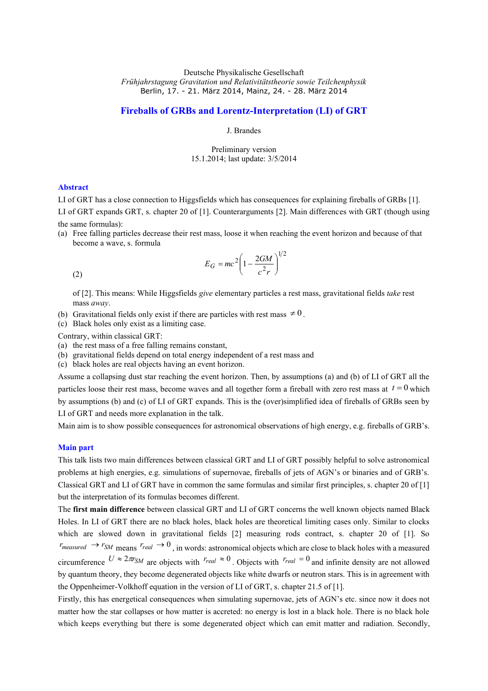# **Fireballs of GRBs and Lorentz-Interpretation (LI) of GRT**

J. Brandes

Preliminary version 15.1.2014; last update: 3/5/2014

### **Abstract**

LI of GRT has a close connection to Higgsfields which has consequences for explaining fireballs of GRBs [1].

LI of GRT expands GRT, s. chapter 20 of [1]. Counterarguments [2]. Main differences with GRT (though using the same formulas):

(a) Free falling particles decrease their rest mass, loose it when reaching the event horizon and because of that become a wave, s. formula

$$
E_G = mc^2 \left( 1 - \frac{2GM}{c^2 r} \right)^{1/2}
$$

(2)

of [2]. This means: While Higgsfields *give* elementary particles a rest mass, gravitational fields *take* rest mass *away*.

- (b) Gravitational fields only exist if there are particles with rest mass  $\neq 0$ .
- (c) Black holes only exist as a limiting case.

Contrary, within classical GRT:

- (a) the rest mass of a free falling remains constant,
- (b) gravitational fields depend on total energy independent of a rest mass and
- (c) black holes are real objects having an event horizon.

Assume a collapsing dust star reaching the event horizon. Then, by assumptions (a) and (b) of LI of GRT all the particles loose their rest mass, become waves and all together form a fireball with zero rest mass at  $t = 0$  which by assumptions (b) and (c) of LI of GRT expands. This is the (over)simplified idea of fireballs of GRBs seen by LI of GRT and needs more explanation in the talk.

Main aim is to show possible consequences for astronomical observations of high energy, e.g. fireballs of GRB's.

### **Main part**

This talk lists two main differences between classical GRT and LI of GRT possibly helpful to solve astronomical problems at high energies, e.g. simulations of supernovae, fireballs of jets of AGN's or binaries and of GRB's. Classical GRT and LI of GRT have in common the same formulas and similar first principles, s. chapter 20 of [1] but the interpretation of its formulas becomes different.

The **first main difference** between classical GRT and LI of GRT concerns the well known objects named Black Holes. In LI of GRT there are no black holes, black holes are theoretical limiting cases only. Similar to clocks which are slowed down in gravitational fields [2] measuring rods contract, s. chapter 20 of [1]. So *r*<sub>measured</sub>  $\rightarrow$  *r*<sub>SM</sub> <sub>means</sub> *r*<sub>real</sub>  $\rightarrow$  0<sub>,</sub> in words: astronomical objects which are close to black holes with a measured circumference  $U \approx 2\pi r_{SM}$  are objects with  $r_{real} \approx 0$ . Objects with  $r_{real} = 0$  and infinite density are not allowed by quantum theory, they become degenerated objects like white dwarfs or neutron stars. This is in agreement with the Oppenheimer-Volkhoff equation in the version of LI of GRT, s. chapter 21.5 of [1].

Firstly, this has energetical consequences when simulating supernovae, jets of AGN's etc. since now it does not matter how the star collapses or how matter is accreted: no energy is lost in a black hole. There is no black hole which keeps everything but there is some degenerated object which can emit matter and radiation. Secondly,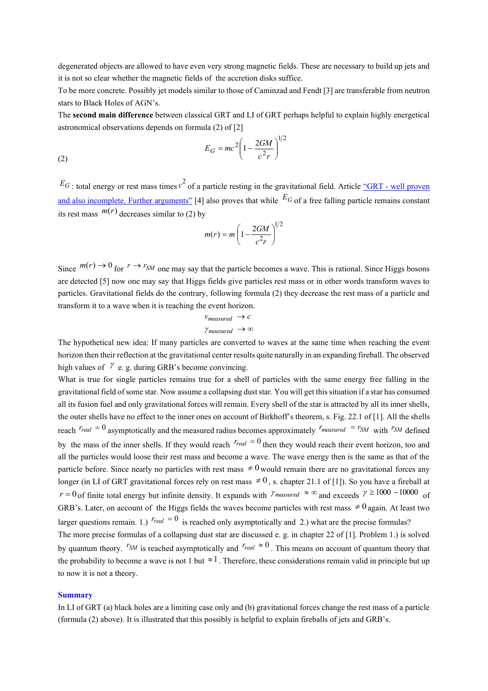degenerated objects are allowed to have even very strong magnetic fields. These are necessary to build up jets and it is not so clear whether the magnetic fields of the accretion disks suffice.

To be more concrete. Possibly jet models similar to those of Caminzad and Fendt [3] are transferable from neutron stars to Black Holes of AGN's.

The **second main difference** between classical GRT and LI of GRT perhaps helpful to explain highly energetical astronomical observations depends on formula (2) of [2]

$$
E_G = mc^2 \left(1 - \frac{2GM}{c^2r}\right)^{1/2}
$$

 $E_G$ : total energy or rest mass times  $c^2$  of a particle resting in the gravitational field. Article "GRT - well proven [and also incomplete.](Talks_Brandes_since_2014.htm) Further arguments" [4] also proves that while *E<sup>G</sup>* of a free falling particle remains constant its rest mass  $m(r)$  decreases similar to (2) by

$$
m(r) = m \left(1 - \frac{2GM}{c^2r}\right)^{1/2}
$$

Since  $m(r) \to 0$  for  $r \to r_{SM}$  one may say that the particle becomes a wave. This is rational. Since Higgs bosons are detected [5] now one may say that Higgs fields give particles rest mass or in other words transform waves to particles. Gravitational fields do the contrary, following formula (2) they decrease the rest mass of a particle and transform it to a wave when it is reaching the event horizon.

$$
v_{measured} \rightarrow c
$$
  

$$
\gamma_{measured} \rightarrow \infty
$$

The hypothetical new idea: If many particles are converted to waves at the same time when reaching the event horizon then their reflection at the gravitational center results quite naturally in an expanding fireball. The observed high values of  $\ell$  e. g. during GRB's become convincing.

What is true for single particles remains true for a shell of particles with the same energy free falling in the gravitational field of some star. Now assume a collapsing dust star. You will get this situation if a star has consumed all its fusion fuel and only gravitational forces will remain. Every shell of the star is attracted by all its inner shells, the outer shells have no effect to the inner ones on account of Birkhoff's theorem, s. Fig. 22.1 of [1]. All the shells reach  $r_{real} = 0$  asymptotically and the measured radius becomes approximately  $r_{measured} = r_{SM}$  with  $r_{SM}$  defined by the mass of the inner shells. If they would reach  $r_{real} = 0$  then they would reach their event horizon, too and all the particles would loose their rest mass and become a wave. The wave energy then is the same as that of the particle before. Since nearly no particles with rest mass  $\neq 0$  would remain there are no gravitational forces any longer (in LI of GRT gravitational forces rely on rest mass  $\neq 0$ , s. chapter 21.1 of [1]). So you have a fireball at  $r = 0$  of finite total energy but infinite density. It expands with  $\gamma_{measured} \approx \infty$  and exceeds  $\gamma \ge 1000 - 10000$  of GRB's. Later, on account of the Higgs fields the waves become particles with rest mass  $\neq 0$  again. At least two larger questions remain. 1.)  $r_{real} = 0$  is reached only asymptotically and 2.) what are the precise formulas? The more precise formulas of a collapsing dust star are discussed e. g. in chapter 22 of [1]. Problem 1.) is solved by quantum theory. <sup>*r*</sup>*SM* is reached asymptotically and  $r_{real} \approx 0$ . This means on account of quantum theory that the probability to become a wave is not 1 but  $\approx 1$ . Therefore, these considerations remain valid in principle but up to now it is not a theory.

## **Summary**

(2)

In LI of GRT (a) black holes are a limiting case only and (b) gravitational forces change the rest mass of a particle (formula (2) above). It is illustrated that this possibly is helpful to explain fireballs of jets and GRB's.